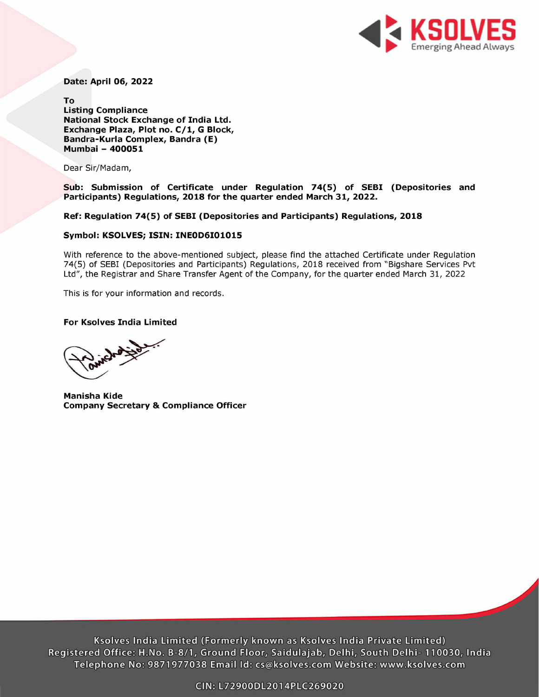

Date: April 06, 2022

To Listing Compliance National Stock Exchange of India Ltd. Exchange Plaza, Plot no. C/1, G Block, Bandra-Kurla Complex, Bandra (E) Mumbai - 400051

Dear Sir/Madam,

Sub: Submission of Certificate under Regulation 74(5) of SEBI (Depositories and Participants) Regulations, 2018 for the quarter ended March 31, 2022.

Ref: Regulation 74(5) of SEBI (Depositories and Participants) Regulations, 2018

## Symbol: KSOLVES; ISIN: INEOD6101015

With reference to the above-mentioned subject, please find the attached Certificate under Regulation 74(5) of SEBI (Depositories and Participants) Regulations, 2018 received from "Bigshare Services Pvt Ltd", the Registrar and Share Transfer Agent of the Company, for the quarter ended March 31, 2022

This is for your information and records.

## For Ksolves India Limited

Manisha Kide Company Secretary & Compliance Officer

Ksolves India Limited (Formerly known as Ksolves India Private Limited) Registered Office: H.No. B-8/1, Ground Floor, Saidulajab, Delhi, South Delhi- 110030, India Telephone No: 9871977038 Email Id: cs@ksolves.com Website: www.ksolves.com GIN: L72900DL2014PLE269020